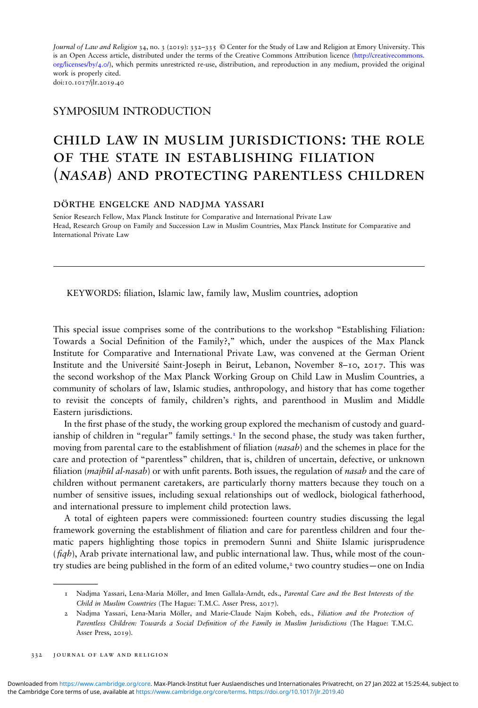Journal of Law and Religion 34, no. 3 (2019): 332–335 © Center for the Study of Law and Religion at Emory University. This is an Open Access article, distributed under the terms of the Creative Commons Attribution licence [\(http://creativecommons.](http://creativecommons.org/licenses/by/4.0/) [org/licenses/by/4.0/\)](http://creativecommons.org/licenses/by/4.0/), which permits unrestricted re-use, distribution, and reproduction in any medium, provided the original work is properly cited.

doi:10.1017/jlr.2019.40

## SYMPOSIUM INTRODUCTION

## child law in muslim jurisdictions: the role OF THE STATE IN ESTABLISHING FILIATION (nasab) and protecting parentless children

## dörthe engelcke and nadjma yassari

Senior Research Fellow, Max Planck Institute for Comparative and International Private Law Head, Research Group on Family and Succession Law in Muslim Countries, Max Planck Institute for Comparative and International Private Law

KEYWORDS: filiation, Islamic law, family law, Muslim countries, adoption

This special issue comprises some of the contributions to the workshop "Establishing Filiation: Towards a Social Definition of the Family?," which, under the auspices of the Max Planck Institute for Comparative and International Private Law, was convened at the German Orient Institute and the Université Saint-Joseph in Beirut, Lebanon, November 8–10, 2017. This was the second workshop of the Max Planck Working Group on Child Law in Muslim Countries, a community of scholars of law, Islamic studies, anthropology, and history that has come together to revisit the concepts of family, children's rights, and parenthood in Muslim and Middle Eastern jurisdictions.

In the first phase of the study, the working group explored the mechanism of custody and guardianship of children in "regular" family settings.<sup>1</sup> In the second phase, the study was taken further, moving from parental care to the establishment of filiation (*nasab*) and the schemes in place for the care and protection of "parentless" children, that is, children of uncertain, defective, or unknown filiation (*majhūl al-nasab*) or with unfit parents. Both issues, the regulation of *nasab* and the care of children without permanent caretakers, are particularly thorny matters because they touch on a number of sensitive issues, including sexual relationships out of wedlock, biological fatherhood, and international pressure to implement child protection laws.

A total of eighteen papers were commissioned: fourteen country studies discussing the legal framework governing the establishment of filiation and care for parentless children and four thematic papers highlighting those topics in premodern Sunni and Shiite Islamic jurisprudence  $(fqh)$ , Arab private international law, and public international law. Thus, while most of the country studies are being published in the form of an edited volume,<sup>2</sup> two country studies—one on India

<sup>1</sup> Nadjma Yassari, Lena-Maria Möller, and Imen Gallala-Arndt, eds., Parental Care and the Best Interests of the Child in Muslim Countries (The Hague: T.M.C. Asser Press, 2017).

<sup>2</sup> Nadjma Yassari, Lena-Maria Möller, and Marie-Claude Najm Kobeh, eds., Filiation and the Protection of Parentless Children: Towards a Social Definition of the Family in Muslim Jurisdictions (The Hague: T.M.C. Asser Press, 2019).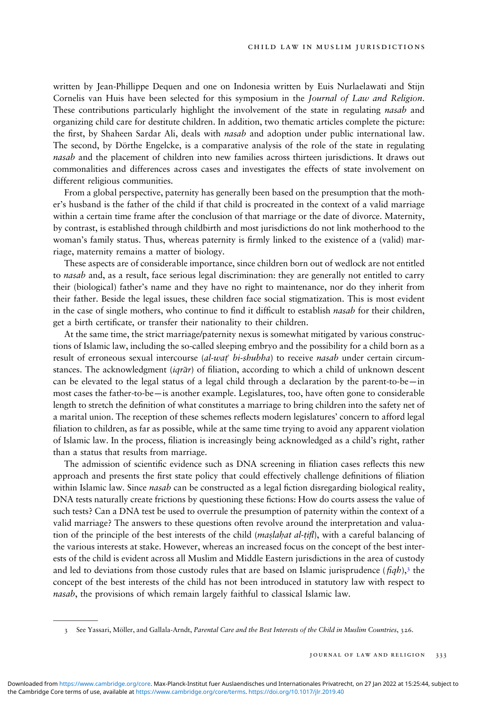written by Jean-Phillippe Dequen and one on Indonesia written by Euis Nurlaelawati and Stijn Cornelis van Huis have been selected for this symposium in the Journal of Law and Religion. These contributions particularly highlight the involvement of the state in regulating *nasab* and organizing child care for destitute children. In addition, two thematic articles complete the picture: the first, by Shaheen Sardar Ali, deals with *nasab* and adoption under public international law. The second, by Dörthe Engelcke, is a comparative analysis of the role of the state in regulating nasab and the placement of children into new families across thirteen jurisdictions. It draws out commonalities and differences across cases and investigates the effects of state involvement on different religious communities.

From a global perspective, paternity has generally been based on the presumption that the mother's husband is the father of the child if that child is procreated in the context of a valid marriage within a certain time frame after the conclusion of that marriage or the date of divorce. Maternity, by contrast, is established through childbirth and most jurisdictions do not link motherhood to the woman's family status. Thus, whereas paternity is firmly linked to the existence of a (valid) marriage, maternity remains a matter of biology.

These aspects are of considerable importance, since children born out of wedlock are not entitled to nasab and, as a result, face serious legal discrimination: they are generally not entitled to carry their (biological) father's name and they have no right to maintenance, nor do they inherit from their father. Beside the legal issues, these children face social stigmatization. This is most evident in the case of single mothers, who continue to find it difficult to establish *nasab* for their children, get a birth certificate, or transfer their nationality to their children.

At the same time, the strict marriage/paternity nexus is somewhat mitigated by various constructions of Islamic law, including the so-called sleeping embryo and the possibility for a child born as a result of erroneous sexual intercourse (al-wat' bi-shubha) to receive nasab under certain circumstances. The acknowledgment ( $iqr\bar{a}r$ ) of filiation, according to which a child of unknown descent can be elevated to the legal status of a legal child through a declaration by the parent-to-be—in most cases the father-to-be—is another example. Legislatures, too, have often gone to considerable length to stretch the definition of what constitutes a marriage to bring children into the safety net of a marital union. The reception of these schemes reflects modern legislatures' concern to afford legal filiation to children, as far as possible, while at the same time trying to avoid any apparent violation of Islamic law. In the process, liation is increasingly being acknowledged as a child's right, rather than a status that results from marriage.

The admission of scientific evidence such as DNA screening in filiation cases reflects this new approach and presents the first state policy that could effectively challenge definitions of filiation within Islamic law. Since *nasab* can be constructed as a legal fiction disregarding biological reality, DNA tests naturally create frictions by questioning these fictions: How do courts assess the value of such tests? Can a DNA test be used to overrule the presumption of paternity within the context of a valid marriage? The answers to these questions often revolve around the interpretation and valuation of the principle of the best interests of the child *(maslahat al-tifl)*, with a careful balancing of the various interests at stake. However, whereas an increased focus on the concept of the best interests of the child is evident across all Muslim and Middle Eastern jurisdictions in the area of custody and led to deviations from those custody rules that are based on Islamic jurisprudence ( $\hat{f}qb$ ),<sup>3</sup> the concept of the best interests of the child has not been introduced in statutory law with respect to nasab, the provisions of which remain largely faithful to classical Islamic law.

<sup>3</sup> See Yassari, Möller, and Gallala-Arndt, Parental Care and the Best Interests of the Child in Muslim Countries, 326.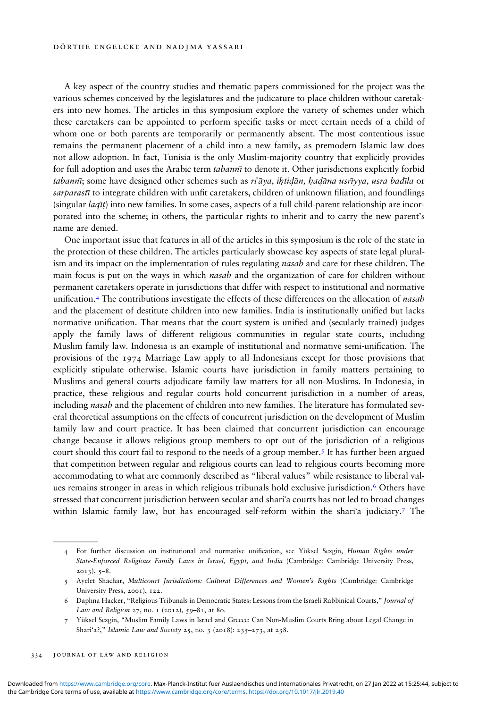A key aspect of the country studies and thematic papers commissioned for the project was the various schemes conceived by the legislatures and the judicature to place children without caretakers into new homes. The articles in this symposium explore the variety of schemes under which these caretakers can be appointed to perform specific tasks or meet certain needs of a child of whom one or both parents are temporarily or permanently absent. The most contentious issue remains the permanent placement of a child into a new family, as premodern Islamic law does not allow adoption. In fact, Tunisia is the only Muslim-majority country that explicitly provides for full adoption and uses the Arabic term tabanni to denote it. Other jurisdictions explicitly forbid tabannī; some have designed other schemes such as riʿāya, ihtidān, hadāna usrīyya, usra badīla or sarparasti to integrate children with unfit caretakers, children of unknown filiation, and foundlings (singular  $laq\bar{t}$ ) into new families. In some cases, aspects of a full child-parent relationship are incorporated into the scheme; in others, the particular rights to inherit and to carry the new parent's name are denied.

One important issue that features in all of the articles in this symposium is the role of the state in the protection of these children. The articles particularly showcase key aspects of state legal pluralism and its impact on the implementation of rules regulating *nasab* and care for these children. The main focus is put on the ways in which *nasab* and the organization of care for children without permanent caretakers operate in jurisdictions that differ with respect to institutional and normative unification.<sup>4</sup> The contributions investigate the effects of these differences on the allocation of *nasab* and the placement of destitute children into new families. India is institutionally unified but lacks normative unification. That means that the court system is unified and (secularly trained) judges apply the family laws of different religious communities in regular state courts, including Muslim family law. Indonesia is an example of institutional and normative semi-unification. The provisions of the 1974 Marriage Law apply to all Indonesians except for those provisions that explicitly stipulate otherwise. Islamic courts have jurisdiction in family matters pertaining to Muslims and general courts adjudicate family law matters for all non-Muslims. In Indonesia, in practice, these religious and regular courts hold concurrent jurisdiction in a number of areas, including nasab and the placement of children into new families. The literature has formulated several theoretical assumptions on the effects of concurrent jurisdiction on the development of Muslim family law and court practice. It has been claimed that concurrent jurisdiction can encourage change because it allows religious group members to opt out of the jurisdiction of a religious court should this court fail to respond to the needs of a group member.5 It has further been argued that competition between regular and religious courts can lead to religious courts becoming more accommodating to what are commonly described as "liberal values" while resistance to liberal values remains stronger in areas in which religious tribunals hold exclusive jurisdiction.<sup>6</sup> Others have stressed that concurrent jurisdiction between secular and shariʿa courts has not led to broad changes within Islamic family law, but has encouraged self-reform within the shari'a judiciary.<sup>7</sup> The

<sup>4</sup> For further discussion on institutional and normative unification, see Yüksel Sezgin, Human Rights under State-Enforced Religious Family Laws in Israel, Egypt, and India (Cambridge: Cambridge University Press,  $2013$ ,  $5-8$ .

<sup>5</sup> Ayelet Shachar, Multicourt Jurisdictions: Cultural Differences and Women's Rights (Cambridge: Cambridge University Press, 2001), 122.

<sup>6</sup> Daphna Hacker, "Religious Tribunals in Democratic States: Lessons from the Israeli Rabbinical Courts," Journal of Law and Religion 27, no. 1 (2012), 59-81, at 80.

<sup>7</sup> Yüksel Sezgin, "Muslim Family Laws in Israel and Greece: Can Non-Muslim Courts Bring about Legal Change in Shari'a?," Islamic Law and Society 25, no. 3 (2018): 235–273, at 238.